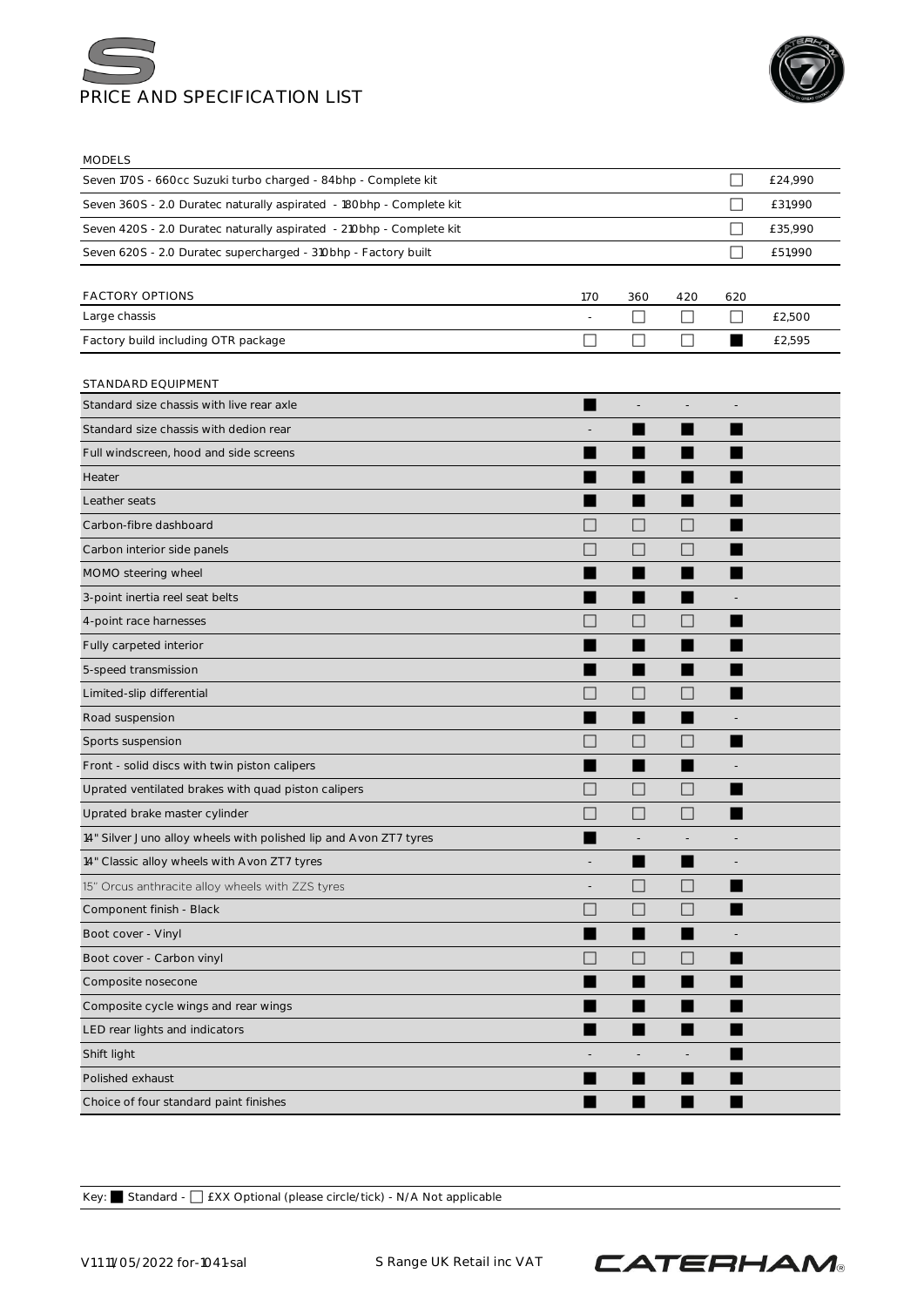



MODELS

| 1VIV DLLJ                                                            |                          |              |                          |                          |         |
|----------------------------------------------------------------------|--------------------------|--------------|--------------------------|--------------------------|---------|
| Seven 170S - 660cc Suzuki turbo charged - 84bhp - Complete kit       |                          |              |                          | П                        | £24,990 |
| Seven 360S - 2.0 Duratec naturally aspirated - 180bhp - Complete kit |                          |              |                          | ×                        | £31,990 |
| Seven 420S - 2.0 Duratec naturally aspirated - 210bhp - Complete kit |                          |              |                          | - 1                      | £35,990 |
| Seven 620S - 2.0 Duratec supercharged - 310bhp - Factory built       |                          |              |                          | $\overline{\phantom{0}}$ | £51,990 |
|                                                                      |                          |              |                          |                          |         |
| <b>FACTORY OPTIONS</b>                                               | <b>170</b>               | 360          | 420                      | 620                      |         |
| Large chassis                                                        | $\overline{a}$           | □            | $\mathbf{L}$             | $\Box$                   | £2,500  |
| Factory build including OTR package                                  | $\overline{\phantom{a}}$ | $\mathsf{L}$ | $\mathbf{L}$             | ٠                        | £2,595  |
| STANDARD EQUIPMENT                                                   |                          |              |                          |                          |         |
| Standard size chassis with live rear axle                            |                          |              |                          |                          |         |
| Standard size chassis with dedion rear                               |                          |              | ▅                        |                          |         |
| Full windscreen, hood and side screens                               |                          |              |                          |                          |         |
| Heater                                                               |                          |              |                          |                          |         |
| Leather seats                                                        |                          |              |                          |                          |         |
| Carbon-fibre dashboard                                               | <b>I</b>                 | $\Box$       | H                        |                          |         |
| Carbon interior side panels                                          |                          | H            |                          |                          |         |
| MOMO steering wheel                                                  |                          |              |                          |                          |         |
| 3-point inertia reel seat belts                                      |                          |              |                          |                          |         |
| 4-point race harnesses                                               |                          | H            | $\Box$                   |                          |         |
| Fully carpeted interior                                              |                          |              |                          |                          |         |
| 5-speed transmission                                                 |                          |              |                          |                          |         |
| Limited-slip differential                                            |                          |              |                          |                          |         |
| Road suspension                                                      |                          |              |                          |                          |         |
| Sports suspension                                                    |                          | H            | H                        |                          |         |
| Front - solid discs with twin piston calipers                        |                          | ■            |                          |                          |         |
| Uprated ventilated brakes with quad piston calipers                  |                          | L            | $\overline{\phantom{0}}$ |                          |         |
| Uprated brake master cylinder                                        | l a                      | $\Box$       | L                        |                          |         |
| 14" Silver Juno alloy wheels with polished lip and Avon ZT7 tyres    |                          |              |                          |                          |         |
| 14" Classic alloy wheels with Avon ZT7 tyres                         |                          |              |                          |                          |         |
| 15" Orcus anthracite alloy wheels with ZZS tyres                     | $\overline{\phantom{a}}$ | $\Box$       | $\Box$                   |                          |         |
| Component finish - Black                                             | H                        | $\Box$       | $\vert \ \ \vert$        |                          |         |
| Boot cover - Vinyl                                                   |                          | ٠            |                          |                          |         |
| Boot cover - Carbon vinyl                                            | H                        | $\Box$       | $\Box$                   | ٠                        |         |
| Composite nosecone                                                   |                          |              |                          |                          |         |
| Composite cycle wings and rear wings                                 |                          |              | ٠                        |                          |         |
| LED rear lights and indicators                                       |                          |              |                          |                          |         |
| Shift light                                                          |                          |              | $\overline{\phantom{a}}$ |                          |         |
| Polished exhaust                                                     |                          | ▅            |                          |                          |         |
| Choice of four standard paint finishes                               |                          |              |                          |                          |         |

Key: ⬛ Standard - ⬜ £XX Optional (please circle/tick) - N/A Not applicable

V1.1 11/05/2022 for-1041-sal S Range UK Retail inc VAT

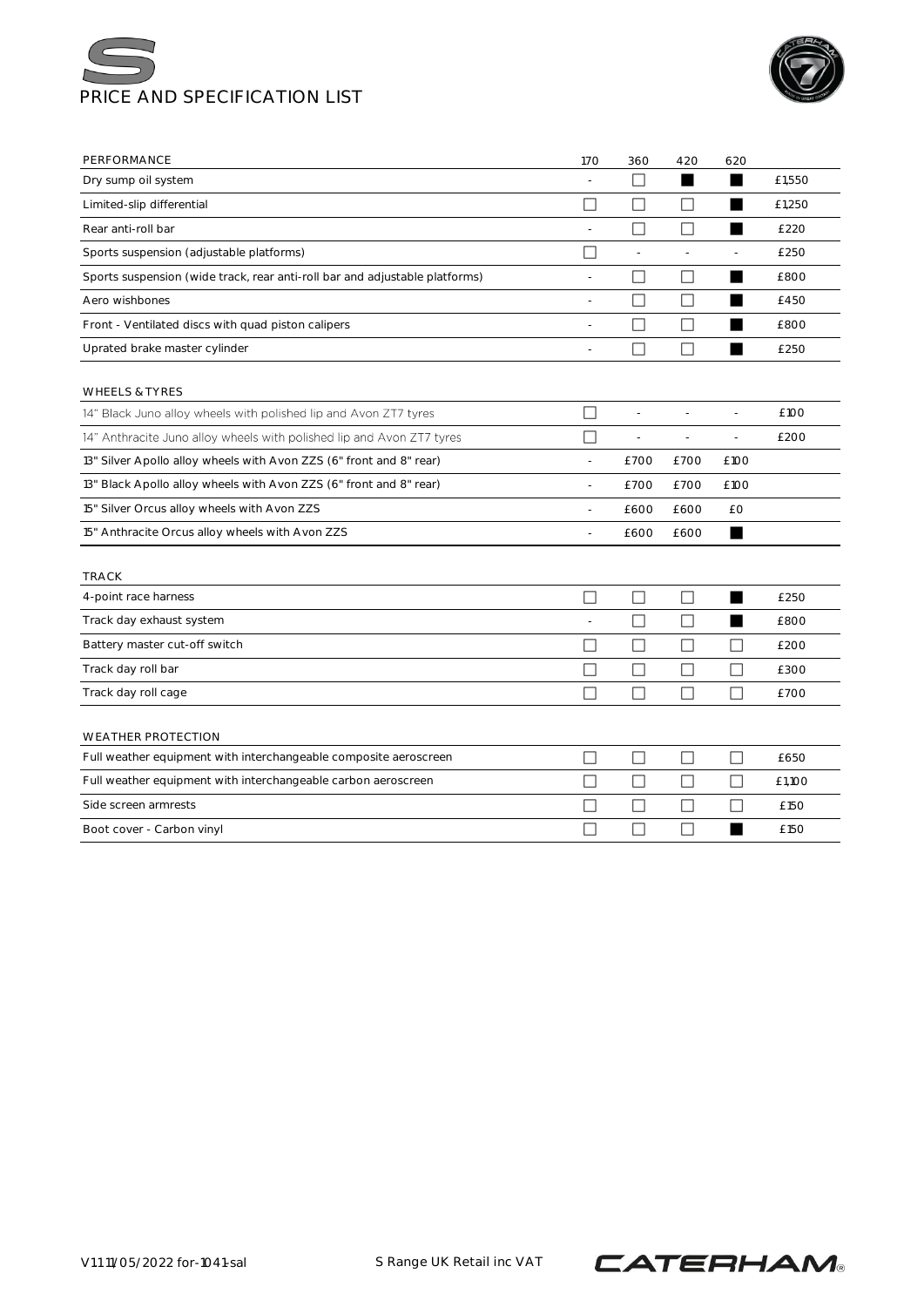



| Dry sump oil system<br>Limited-slip differential                            | П                        | $\mathsf{L}$             |                | ▅                        | £1,550 |
|-----------------------------------------------------------------------------|--------------------------|--------------------------|----------------|--------------------------|--------|
|                                                                             |                          |                          |                |                          |        |
|                                                                             |                          | П                        |                |                          | £1,250 |
| Rear anti-roll bar                                                          | ÷                        | П                        | П              | ■                        | £220   |
| Sports suspension (adjustable platforms)                                    | П                        | $\overline{a}$           | L,             | $\overline{\phantom{a}}$ | £250   |
| Sports suspension (wide track, rear anti-roll bar and adjustable platforms) | $\overline{\phantom{a}}$ | $\overline{\phantom{a}}$ | $\mathsf{L}$   | ▆                        | £800   |
| Aero wishbones                                                              | $\overline{a}$           | $\mathbf{I}$             | $\Box$         | ▅                        | £450   |
| Front - Ventilated discs with quad piston calipers                          | ÷,                       | $\mathcal{L}$            | П              | ▅                        | £800   |
| Uprated brake master cylinder                                               | ٠                        |                          | П              | ▅                        | £250   |
| <b>WHEELS &amp; TYRES</b>                                                   |                          |                          |                |                          |        |
| 14" Black Juno alloy wheels with polished lip and Avon ZT7 tyres            | $\overline{\phantom{a}}$ | $\overline{a}$           |                | L,                       | £100   |
| 14" Anthracite Juno alloy wheels with polished lip and Avon ZT7 tyres       | П                        | $\overline{a}$           | $\overline{a}$ | $\overline{a}$           | £200   |
| 13" Silver Apollo alloy wheels with Avon ZZS (6" front and 8" rear)         | $\overline{\phantom{a}}$ | £700                     | £700           | £100                     |        |
| 13" Black Apollo alloy wheels with Avon ZZS (6" front and 8" rear)          | ÷,                       | £700                     | £700           | £100                     |        |
| 15" Silver Orcus alloy wheels with Avon ZZS                                 | ÷                        | £600                     | £600           | £Ο                       |        |
| 15" Anthracite Orcus alloy wheels with Avon ZZS                             | $\overline{a}$           | £600                     | £600           | ■                        |        |
| <b>TRACK</b>                                                                |                          |                          |                |                          |        |
| 4-point race harness                                                        |                          | $\mathsf{L}$             | ΙI             | ▅                        | £250   |
| Track day exhaust system                                                    | $\overline{\phantom{a}}$ | $\Box$                   | П              | ▅                        | £800   |
| Battery master cut-off switch                                               |                          | $\vert \ \ \vert$        |                | $\mathsf{L}$             | £200   |
| Track day roll bar                                                          |                          | $\Box$                   | П              | П                        | £300   |
| Track day roll cage                                                         | $\Box$                   | П                        | П              | П                        | £700   |
| <b>WEATHER PROTECTION</b>                                                   |                          |                          |                |                          |        |
| Full weather equipment with interchangeable composite aeroscreen            |                          | $\mathbf{L}$             | $\Box$         | $\Box$                   | £650   |
| Full weather equipment with interchangeable carbon aeroscreen               | П                        | $\Box$                   | П              | П                        | £1,100 |
| Side screen armrests                                                        |                          | $\mathbf{L}$             |                | $\mathbf{L}$             | £150   |
| Boot cover - Carbon vinyl                                                   |                          | H                        | □              |                          | £150   |

V1.1 11/05/2022 for-1041-sal SRange UK Retail inc VAT

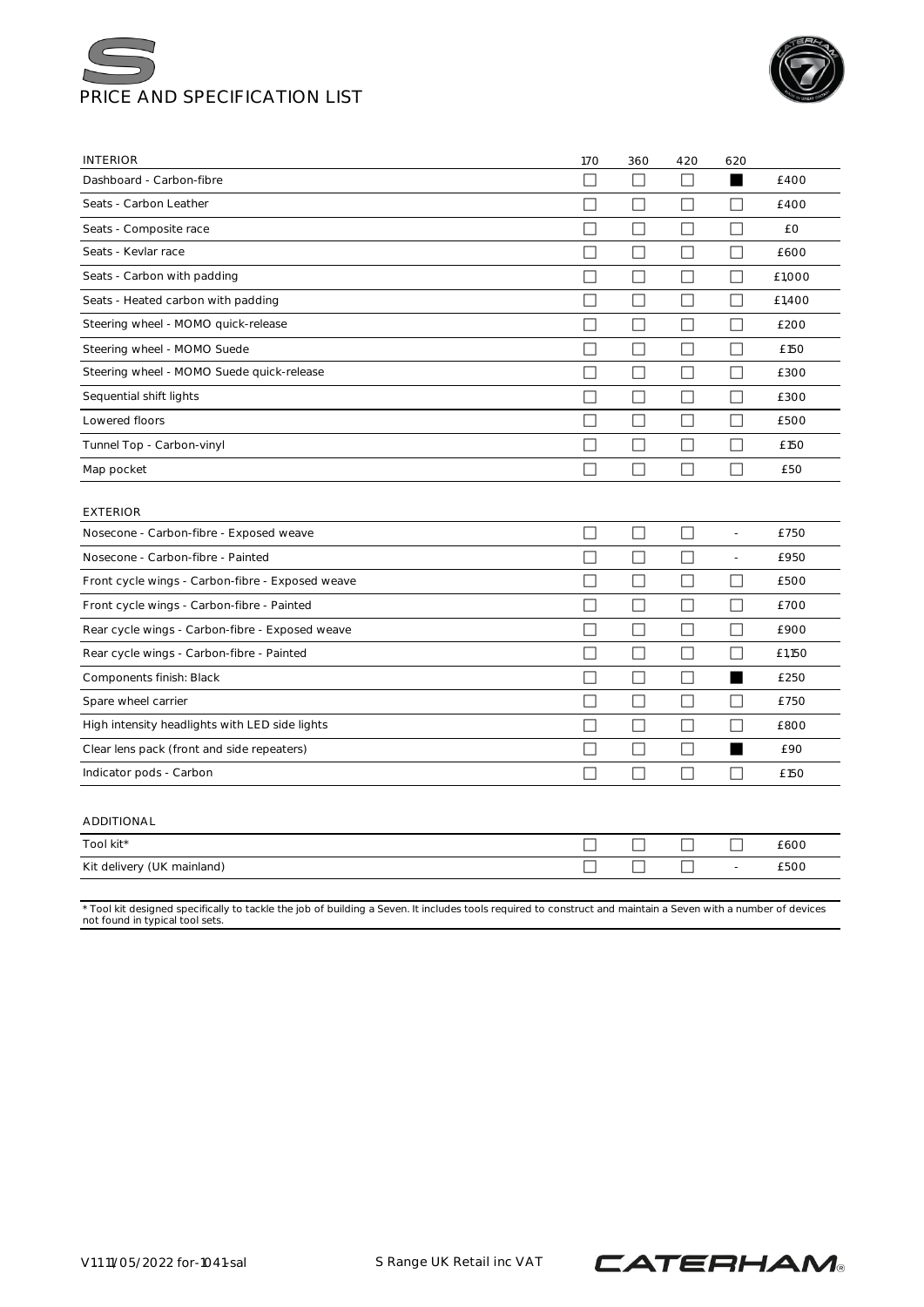



| <b>INTERIOR</b>                                                                                                                                                                                  | 170          | 360                         | 420           | 620                      |        |
|--------------------------------------------------------------------------------------------------------------------------------------------------------------------------------------------------|--------------|-----------------------------|---------------|--------------------------|--------|
| Dashboard - Carbon-fibre                                                                                                                                                                         | П            | П                           | П             |                          | £400   |
| Seats - Carbon Leather                                                                                                                                                                           | П            | П                           | ĪΙ            | $\Box$                   | £400   |
| Seats - Composite race                                                                                                                                                                           | $\mathbf{L}$ | П                           |               | $\mathsf{L}$             | £Ο     |
| Seats - Kevlar race                                                                                                                                                                              | $\Box$       | □                           | $\Box$        | П                        | £600   |
| Seats - Carbon with padding                                                                                                                                                                      | $\mathbf{L}$ | П                           | $\mathsf{L}$  | ΙI                       | £1,000 |
| Seats - Heated carbon with padding                                                                                                                                                               | Ш            | $\mathcal{L}_{\mathcal{A}}$ | Ш             | $\Box$                   | £1,400 |
| Steering wheel - MOMO quick-release                                                                                                                                                              | □            | $\Box$                      | П             | $\Box$                   | £200   |
| Steering wheel - MOMO Suede                                                                                                                                                                      | П            | П                           | $\Box$        | $\Box$                   | £150   |
| Steering wheel - MOMO Suede quick-release                                                                                                                                                        | Ш            | $\mathcal{L}_{\mathcal{A}}$ | $\Box$        | П                        | £300   |
| Sequential shift lights                                                                                                                                                                          | П            | $\Box$                      | П             | П                        | £300   |
| Lowered floors                                                                                                                                                                                   | IJ           | $\mathbb{R}^n$              | $\perp$       | $\perp$                  | £500   |
| Tunnel Top - Carbon-vinyl                                                                                                                                                                        | □            | $\Box$                      | П             | □                        | £150   |
| Map pocket                                                                                                                                                                                       | □            | П                           | П             | □                        | £50    |
| <b>EXTERIOR</b>                                                                                                                                                                                  |              |                             |               |                          |        |
| Nosecone - Carbon-fibre - Exposed weave                                                                                                                                                          | П            | $\Box$                      | П             | $\overline{a}$           | £750   |
| Nosecone - Carbon-fibre - Painted                                                                                                                                                                | П            | П                           | П             | $\overline{\phantom{a}}$ | £950   |
| Front cycle wings - Carbon-fibre - Exposed weave                                                                                                                                                 | $\Box$       | □                           | П             | $\Box$                   | £500   |
| Front cycle wings - Carbon-fibre - Painted                                                                                                                                                       | П            | П                           |               | П                        | £700   |
| Rear cycle wings - Carbon-fibre - Exposed weave                                                                                                                                                  | Ш            | $\Box$                      | $\Box$        | $\Box$                   | £900   |
| Rear cycle wings - Carbon-fibre - Painted                                                                                                                                                        | $\Box$       | П                           | $\Box$        | $\Box$                   | £1,150 |
| Components finish: Black                                                                                                                                                                         | $\mathsf{L}$ | □                           | $\Box$        | ■                        | £250   |
| Spare wheel carrier                                                                                                                                                                              | $\Box$       | □                           | $\Box$        | П                        | £750   |
| High intensity headlights with LED side lights                                                                                                                                                   | Ш            | $\mathcal{L}_{\mathcal{A}}$ | $\mathcal{L}$ | □                        | £800   |
| Clear lens pack (front and side repeaters)                                                                                                                                                       | П            | □                           | П             | ■                        | £90    |
| Indicator pods - Carbon                                                                                                                                                                          | $\mathsf{L}$ | $\mathbf{L}$                |               | ΙI                       | £150   |
| ADDITIONAL                                                                                                                                                                                       |              |                             |               |                          |        |
| Tool kit*                                                                                                                                                                                        |              |                             |               | $\Box$                   | £600   |
| Kit delivery (UK mainland)                                                                                                                                                                       | $\mathsf{L}$ | I.                          | П             | $\overline{\phantom{a}}$ | £500   |
| * Tool kit designed specifically to tackle the job of building a Seven. It includes tools required to construct and maintain a Seven with a number of devices<br>not found in typical tool sets. |              |                             |               |                          |        |

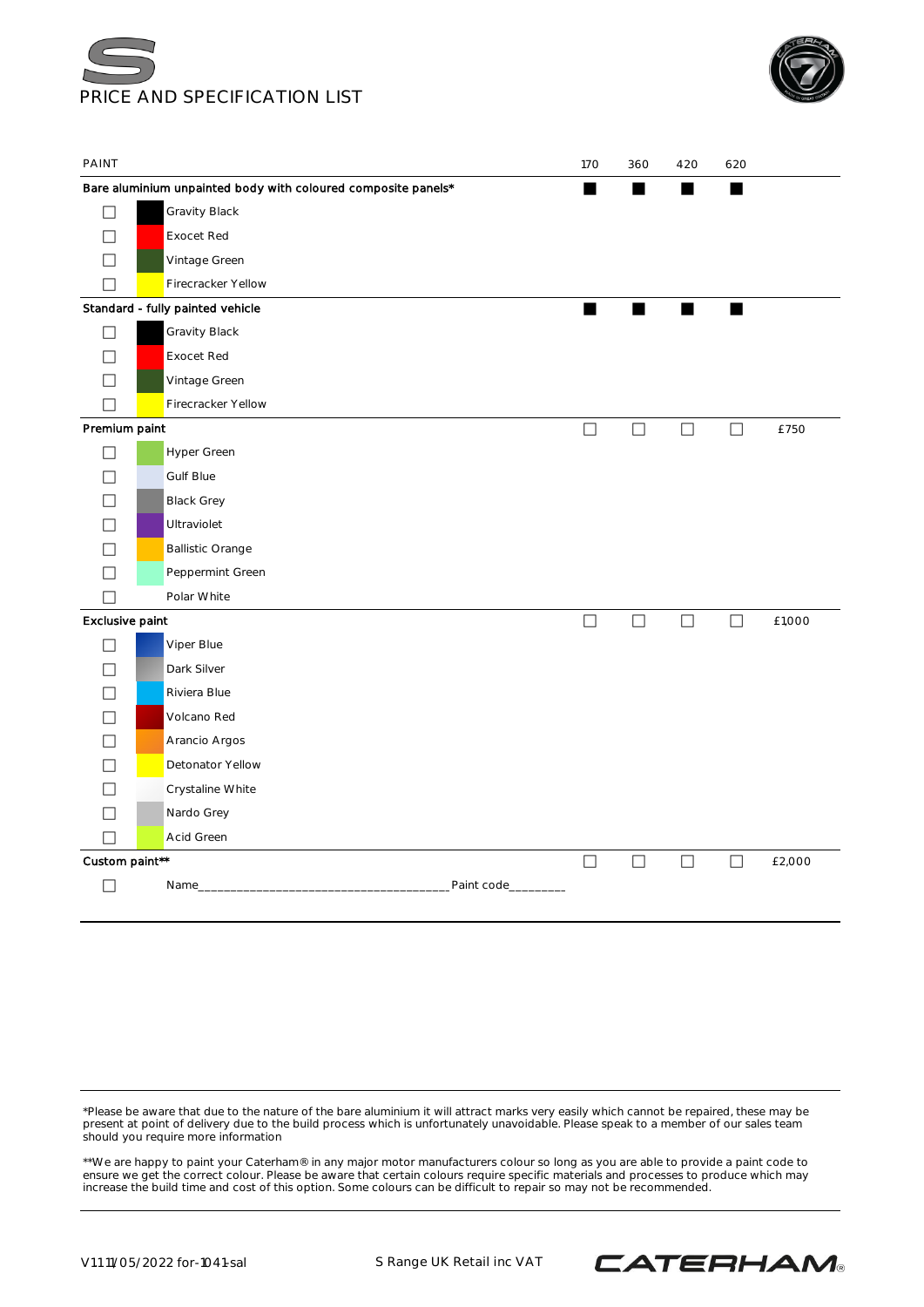



| PAINT                    |                                                               |             | 170    | 360    | 420    | 620    |        |
|--------------------------|---------------------------------------------------------------|-------------|--------|--------|--------|--------|--------|
|                          | Bare aluminium unpainted body with coloured composite panels* |             | ■      |        | ■      |        |        |
| $\Box$                   | Gravity Black                                                 |             |        |        |        |        |        |
| $\Box$                   | <b>Exocet Red</b>                                             |             |        |        |        |        |        |
| П                        | Vintage Green                                                 |             |        |        |        |        |        |
| $\overline{\phantom{a}}$ | Firecracker Yellow                                            |             |        |        |        |        |        |
|                          | Standard - fully painted vehicle                              |             | п      | ٠      | п      | ٠      |        |
| $\Box$                   | Gravity Black                                                 |             |        |        |        |        |        |
| П                        | <b>Exocet Red</b>                                             |             |        |        |        |        |        |
| $\overline{\phantom{a}}$ | Vintage Green                                                 |             |        |        |        |        |        |
| $\overline{\phantom{a}}$ | Firecracker Yellow                                            |             |        |        |        |        |        |
| Premium paint            |                                                               |             | $\Box$ | $\Box$ | $\Box$ | $\Box$ | £750   |
| $\Box$                   | Hyper Green                                                   |             |        |        |        |        |        |
| $\overline{\phantom{a}}$ | Gulf Blue                                                     |             |        |        |        |        |        |
|                          | <b>Black Grey</b>                                             |             |        |        |        |        |        |
|                          | Ultraviolet                                                   |             |        |        |        |        |        |
|                          | <b>Ballistic Orange</b>                                       |             |        |        |        |        |        |
| $\vert \ \ \vert$        | Peppermint Green                                              |             |        |        |        |        |        |
| $\overline{\phantom{a}}$ | Polar White                                                   |             |        |        |        |        |        |
| Exclusive paint          |                                                               |             | $\Box$ | $\Box$ | $\Box$ | $\Box$ | £1,000 |
| $\Box$                   | Viper Blue                                                    |             |        |        |        |        |        |
| $\overline{\phantom{a}}$ | Dark Silver                                                   |             |        |        |        |        |        |
|                          | Riviera Blue                                                  |             |        |        |        |        |        |
| $\overline{\phantom{0}}$ | Volcano Red                                                   |             |        |        |        |        |        |
| $\Box$                   | Arancio Argos                                                 |             |        |        |        |        |        |
| $\overline{\phantom{a}}$ | Detonator Yellow                                              |             |        |        |        |        |        |
|                          | Crystaline White                                              |             |        |        |        |        |        |
| П                        | Nardo Grey                                                    |             |        |        |        |        |        |
| $\Box$                   | Acid Green                                                    |             |        |        |        |        |        |
| Custom paint**           |                                                               |             | $\Box$ | $\Box$ | $\Box$ | $\Box$ | £2,000 |
|                          | Name_                                                         | Paint code_ |        |        |        |        |        |
|                          |                                                               |             |        |        |        |        |        |

\*Please be aware that due to the nature of the bare aluminium it will attract marks very easily which cannot be repaired, these may be present at point of delivery due to the build process which is unfortunately unavoidable. Please speak to a member of our sales team should you require more information

\*\*We are happy to paint your Caterham® in any major motor manufacturers colour so long as you are able to provide a paint code to ensure we get the correct colour. Please be aware that certain colours require specific materials and processes to produce which may increase the build time and cost of this option. Some colours can be difficult to repair so may not be recommended.

V1.1 11/05/2022 for-1041-sal S Range UK Retail inc VAT

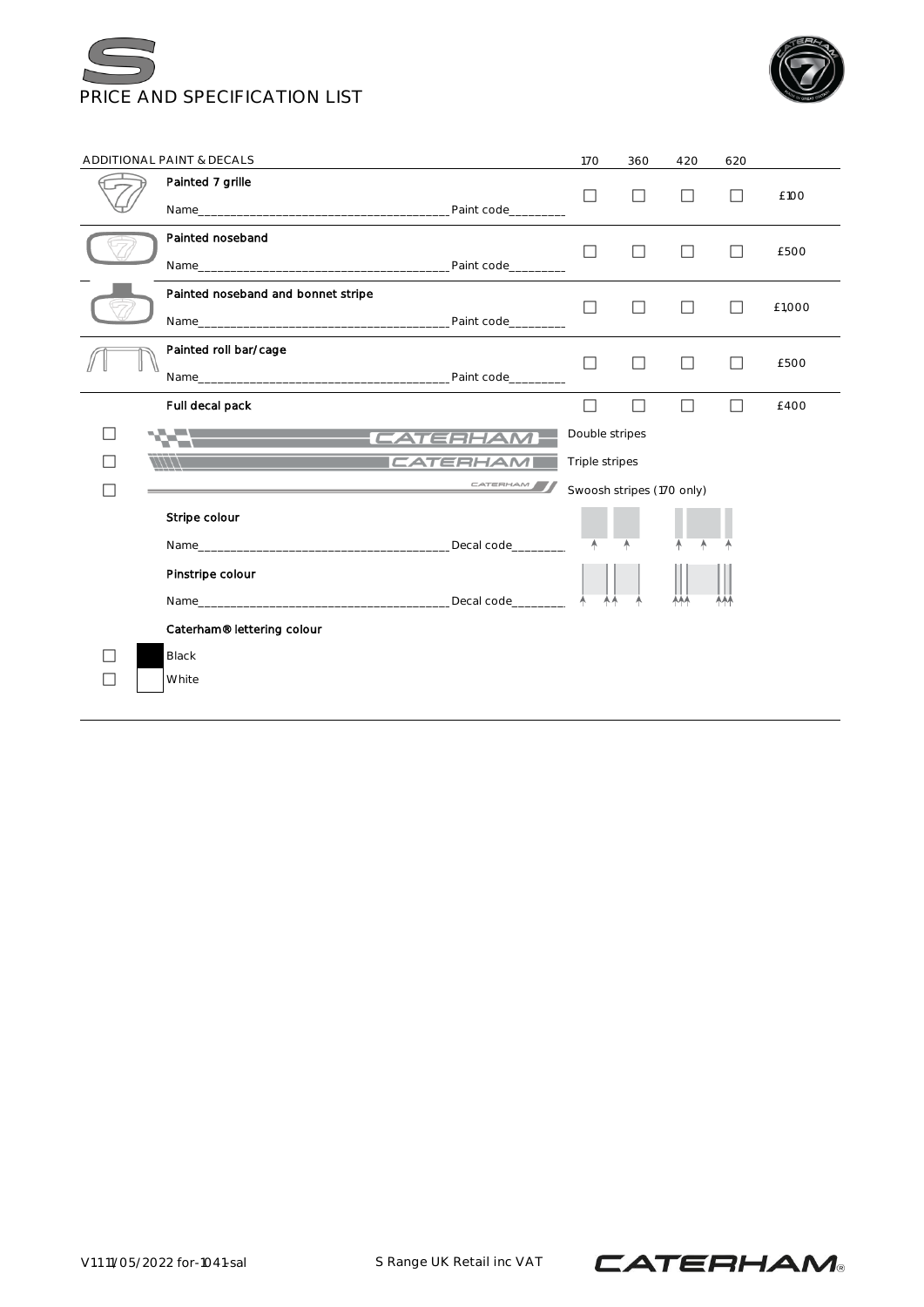



|               | ADDITIONAL PAINT & DECALS          |                 | 170                       | 360    | 420 | 620     |        |
|---------------|------------------------------------|-----------------|---------------------------|--------|-----|---------|--------|
|               | Painted 7 grille                   |                 | П                         | П      | П   | $\Box$  | £100   |
|               |                                    |                 |                           |        |     |         |        |
|               | Painted noseband                   |                 | П                         | П      | П   | $\Box$  | £500   |
|               |                                    |                 |                           |        |     |         |        |
|               | Painted noseband and bonnet stripe |                 | П                         | □      | П   | П       | £1,000 |
|               | Painted roll bar/cage              |                 |                           |        |     |         |        |
|               |                                    |                 | $\Box$                    | □      | П   | $\perp$ | £500   |
|               |                                    |                 |                           |        |     |         |        |
|               | Full decal pack                    |                 | $\Box$                    | $\Box$ | П   | П       | £400   |
|               | <b>TATERHAM</b>                    |                 | Double stripes            |        |     |         |        |
| $\mathcal{L}$ | $\frac{1}{11111}$                  | <b>CATERHAM</b> | Triple stripes            |        |     |         |        |
|               |                                    | CATERHAM        | Swoosh stripes (170 only) |        |     |         |        |
|               | Stripe colour                      |                 |                           |        |     |         |        |
|               |                                    |                 | A                         |        |     |         |        |
|               | Pinstripe colour                   |                 |                           |        |     |         |        |
|               |                                    |                 |                           |        | AAA | AAA     |        |
|               | Caterham® lettering colour         |                 |                           |        |     |         |        |
|               | <b>Black</b>                       |                 |                           |        |     |         |        |
|               | White                              |                 |                           |        |     |         |        |
|               |                                    |                 |                           |        |     |         |        |

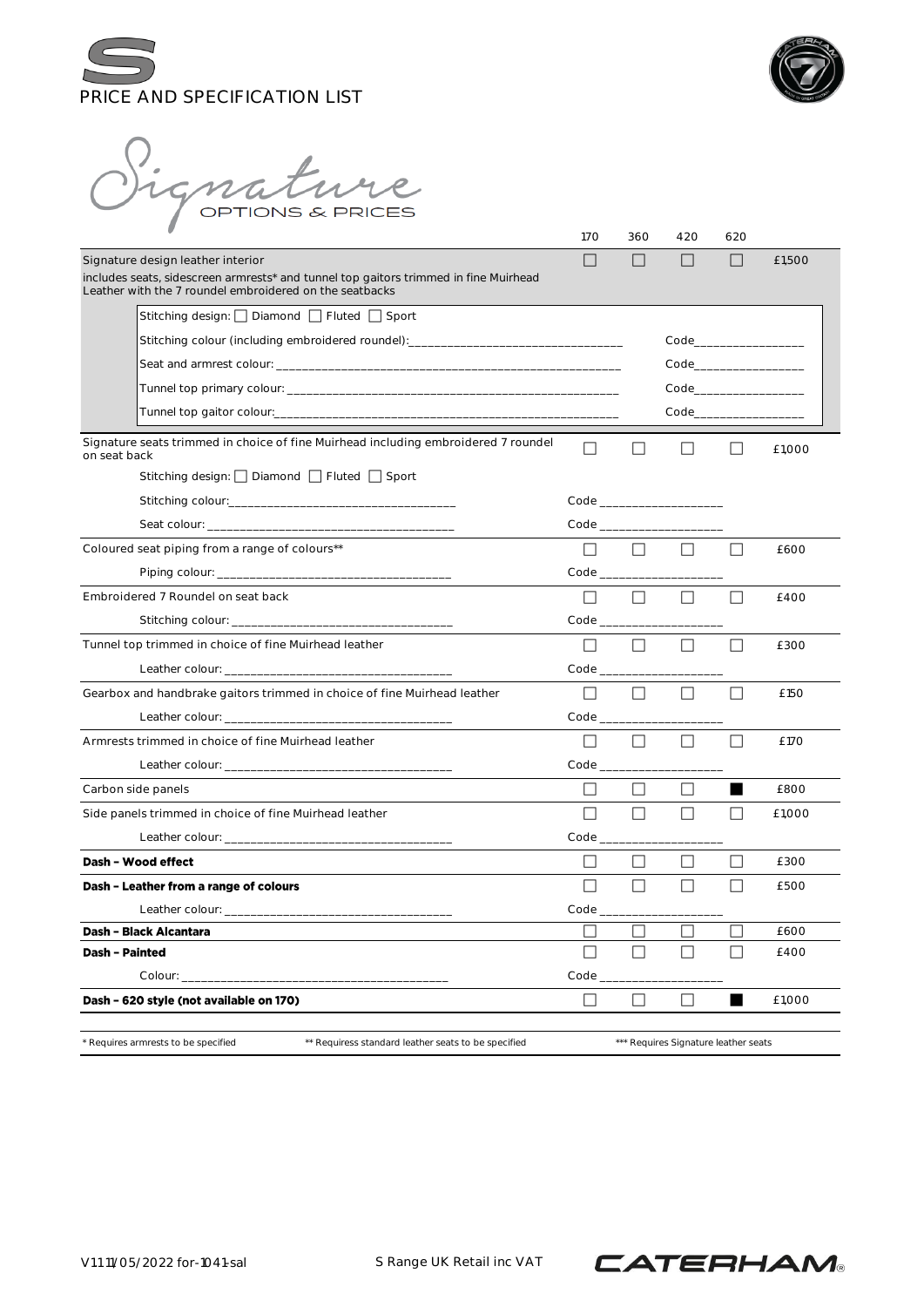



).<br>Mignature

|                                                                                                                                                 | 170                     | 360     | 420                                                                                                            | 620          |        |
|-------------------------------------------------------------------------------------------------------------------------------------------------|-------------------------|---------|----------------------------------------------------------------------------------------------------------------|--------------|--------|
| Signature design leather interior                                                                                                               | $\mathbf{I}$            |         | $\Box$                                                                                                         | $\mathsf{L}$ | £1,500 |
| includes seats, sidescreen armrests* and tunnel top gaitors trimmed in fine Muirhead<br>Leather with the 7 roundel embroidered on the seatbacks |                         |         |                                                                                                                |              |        |
| Stitching design: □ Diamond □ Fluted □ Sport                                                                                                    |                         |         |                                                                                                                |              |        |
| Stitching colour (including embroidered roundel): ______________________________                                                                |                         |         | Code____________________                                                                                       |              |        |
|                                                                                                                                                 |                         |         | Code in the code of the code of the code                                                                       |              |        |
|                                                                                                                                                 |                         |         | Code in the code of the code of the code of the code of the code of the code of the code of the code of the co |              |        |
|                                                                                                                                                 |                         |         | Code in the code of the code of the code                                                                       |              |        |
| Signature seats trimmed in choice of fine Muirhead including embroidered 7 roundel<br>on seat back                                              | П                       |         |                                                                                                                | $\perp$      | £1.000 |
| Stitching design: □ Diamond □ Fluted □ Sport                                                                                                    |                         |         |                                                                                                                |              |        |
|                                                                                                                                                 |                         |         |                                                                                                                |              |        |
|                                                                                                                                                 |                         |         |                                                                                                                |              |        |
| Coloured seat piping from a range of colours**                                                                                                  | $\perp$                 | $\Box$  | $\Box$                                                                                                         | ΙI           | £600   |
|                                                                                                                                                 | $Code$ <sub>_____</sub> |         |                                                                                                                |              |        |
| Embroidered 7 Roundel on seat back                                                                                                              | $\Box$                  | $\Box$  | $\Box$                                                                                                         |              | f400   |
|                                                                                                                                                 | Code                    |         |                                                                                                                |              |        |
| Tunnel top trimmed in choice of fine Muirhead leather                                                                                           | П                       | $\Box$  | $\Box$                                                                                                         | $\Box$       | £300   |
|                                                                                                                                                 | $Code$ <sub>____</sub>  |         |                                                                                                                |              |        |
| Gearbox and handbrake gaitors trimmed in choice of fine Muirhead leather                                                                        | $\Box$                  |         | $\Box$                                                                                                         |              | £150   |
|                                                                                                                                                 | Code in the code        |         |                                                                                                                |              |        |
| Armrests trimmed in choice of fine Muirhead leather                                                                                             | $\perp$                 | $\perp$ | ΙI                                                                                                             |              | £170   |
|                                                                                                                                                 |                         |         |                                                                                                                |              |        |
| Carbon side panels                                                                                                                              | $\Box$                  | $\perp$ | ΙI                                                                                                             |              | £800   |
| Side panels trimmed in choice of fine Muirhead leather                                                                                          | П                       | $\Box$  | П                                                                                                              | $\Box$       | £1,000 |
|                                                                                                                                                 | $Code$ <sub>____</sub>  |         |                                                                                                                |              |        |
| Dash - Wood effect                                                                                                                              | $\perp$                 | $\perp$ | ΙI                                                                                                             |              | £300   |
| Dash - Leather from a range of colours                                                                                                          | ΙI                      | $\perp$ | $\Box$                                                                                                         | $\perp$      | £500   |
|                                                                                                                                                 | $Code_$                 |         |                                                                                                                |              |        |
| Dash - Black Alcantara                                                                                                                          |                         |         |                                                                                                                |              | £600   |
| <b>Dash - Painted</b>                                                                                                                           | Г                       |         | $\mathsf{L}$                                                                                                   | $\mathsf{L}$ | £400   |
| Colour:                                                                                                                                         | Code                    |         |                                                                                                                |              |        |
| Dash - 620 style (not available on 170)                                                                                                         | $\Box$                  | $\Box$  | П                                                                                                              |              | £1,000 |
| * Requires armrests to be specified<br>** Requiress standard leather seats to be specified                                                      |                         |         | *** Requires Signature leather seats                                                                           |              |        |

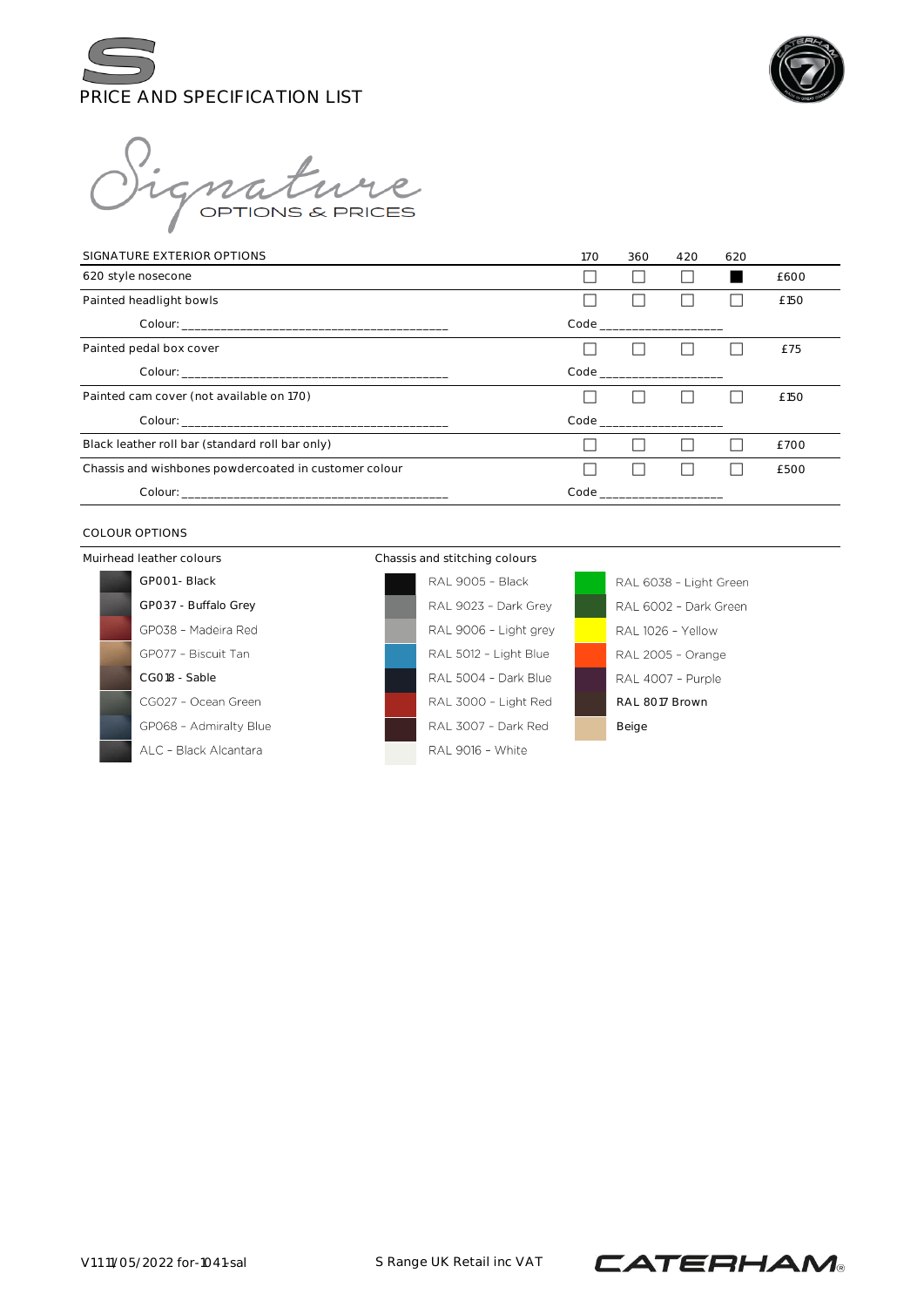



mature

| SIGNATURE EXTERIOR OPTIONS                            | 170 | 360                                       | 420 | 620 |      |
|-------------------------------------------------------|-----|-------------------------------------------|-----|-----|------|
| 620 style nosecone                                    |     |                                           |     |     | £600 |
| Painted headlight bowls                               |     |                                           |     |     | £150 |
|                                                       |     | Code _________________                    |     |     |      |
| Painted pedal box cover                               |     |                                           |     |     | £75  |
|                                                       |     |                                           |     |     |      |
| Painted cam cover (not available on 170)              |     |                                           |     |     | £150 |
|                                                       |     |                                           |     |     |      |
| Black leather roll bar (standard roll bar only)       |     |                                           |     |     | £700 |
| Chassis and wishbones powdercoated in customer colour |     |                                           |     |     | £500 |
|                                                       |     | Code and the code of the code of the code |     |     |      |

#### COLOUR OPTIONS

Muirhead leather colours Chassis and stitching colours GP001 - Black GP037 - Buffalo Grey GP038 - Madeira Red GP077 - Biscuit Tan CG018 - Sable CG027 - Ocean Green GP068 - Admiralty Blue ALC - Black Alcantara



RAL 6038 - Light Green RAL 6002 - Dark Green RAL 1026 - Yellow RAL 2005 - Orange RAL 4007 - Purple RAL 8017 Brown Beige